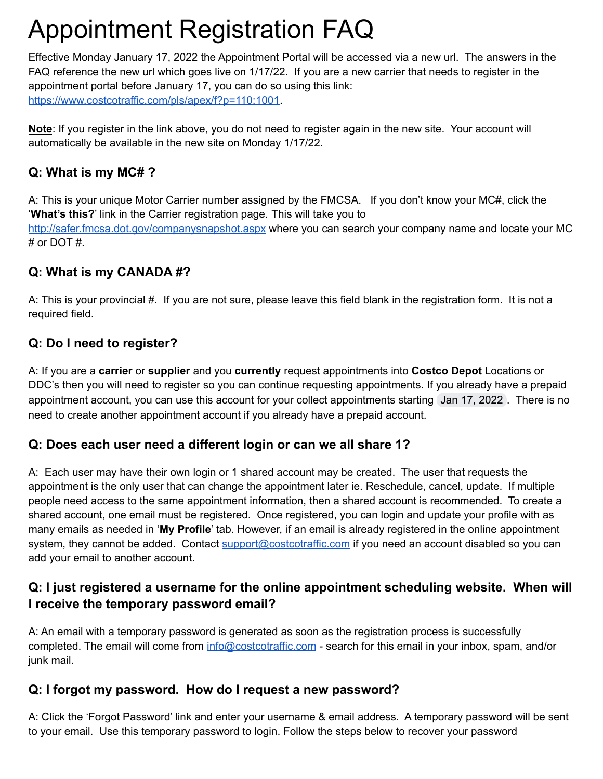# Appointment Registration FAQ

Effective Monday January 17, 2022 the Appointment Portal will be accessed via a new url. The answers in the FAQ reference the new url which goes live on 1/17/22. If you are a new carrier that needs to register in the appointment portal before January 17, you can do so using this link: [https://www.costcotraffic.com/pls/apex/f?p=110:1001](https://urldefense.proofpoint.com/v2/url?u=https-3A__www.costcotraffic.com_pls_apex_f-3Fp-3D110-3A1001&d=DwMBaQ&c=pApUd0AUA6FmKRo01iR_VA&r=BKEHlg3O96J59HrpHYZ6DOBBQtEuTm_3GjZFzGCOG_U&m=7n4viugkdDfjepjWim6wu1ipfed3CO3jQ8Aokq_MYPJzVzXjtwodMmJPr8F5dtG8&s=45pAih19oOa2dTes5VRusuQ1yr1aiuMKJWA8arMFya4&e=).

**Note**: If you register in the link above, you do not need to register again in the new site. Your account will automatically be available in the new site on Monday 1/17/22.

# **Q: What is my MC# ?**

A: This is your unique Motor Carrier number assigned by the FMCSA. If you don't know your MC#, click the '**What's this?**' link in the Carrier registration page. This will take you to <http://safer.fmcsa.dot.gov/companysnapshot.aspx> where you can search your company name and locate your MC # or DOT #.

# **Q: What is my CANADA #?**

A: This is your provincial #. If you are not sure, please leave this field blank in the registration form. It is not a required field.

# **Q: Do I need to register?**

A: If you are a **carrier** or **supplier** and you **currently** request appointments into **Costco Depot** Locations or DDC's then you will need to register so you can continue requesting appointments. If you already have a prepaid appointment account, you can use this account for your collect appointments starting Jan 17, 2022. There is no need to create another appointment account if you already have a prepaid account.

### **Q: Does each user need a different login or can we all share 1?**

A: Each user may have their own login or 1 shared account may be created. The user that requests the appointment is the only user that can change the appointment later ie. Reschedule, cancel, update. If multiple people need access to the same appointment information, then a shared account is recommended. To create a shared account, one email must be registered. Once registered, you can login and update your profile with as many emails as needed in '**My Profile**' tab. However, if an email is already registered in the online appointment system, they cannot be added. Contact [support@costcotraffic.com](mailto:support@costcotraffic.com) if you need an account disabled so you can add your email to another account.

# **Q: I just registered a username for the online appointment scheduling website. When will I receive the temporary password email?**

A: An email with a temporary password is generated as soon as the registration process is successfully completed. The email will come from [info@costcotraffic.com](mailto:info@costcotraffic.com) - search for this email in your inbox, spam, and/or junk mail.

### **Q: I forgot my password. How do I request a new password?**

A: Click the 'Forgot Password' link and enter your username & email address. A temporary password will be sent to your email. Use this temporary password to login. Follow the steps below to recover your password